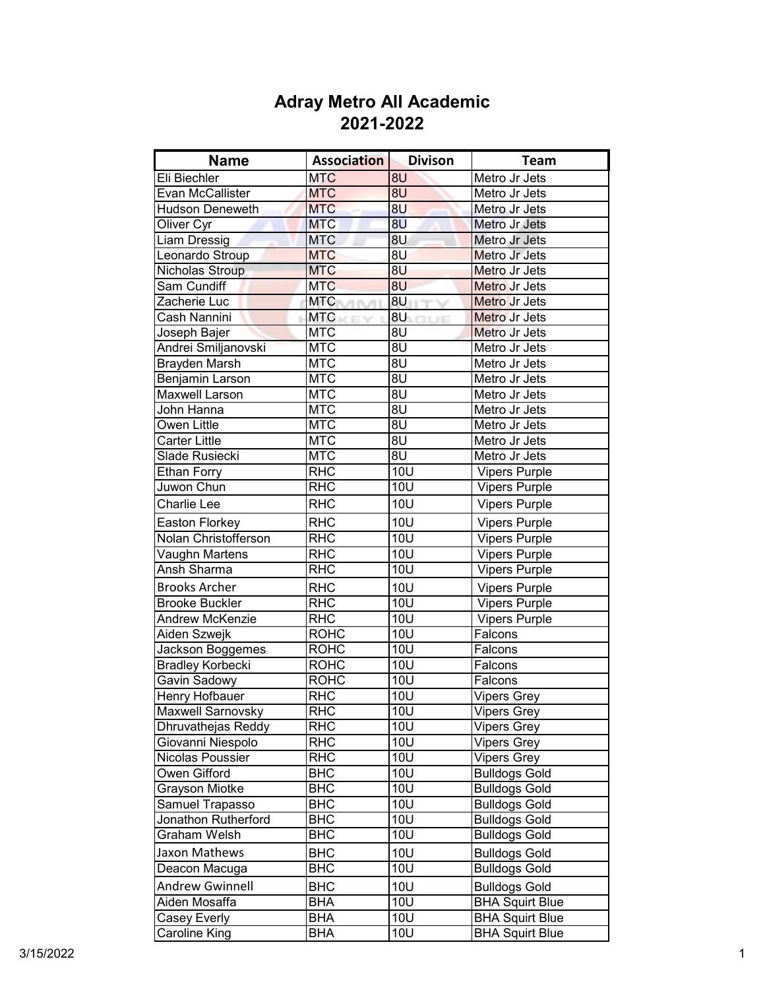| <b>Name</b>             | <b>Association</b>           | <b>Divison</b>   | Team                   |
|-------------------------|------------------------------|------------------|------------------------|
| Eli Biechler            | <b>MTC</b>                   | 8U               | Metro Jr Jets          |
| Evan McCallister        | <b>MTC</b>                   | 8U               | Metro Jr Jets          |
| <b>Hudson Deneweth</b>  | <b>MTC</b>                   | 8U               | Metro Jr Jets          |
| Oliver Cyr              | <b>MTC</b>                   | 8U               | Metro Jr Jets          |
| Liam Dressig            | <b>MTC</b>                   | 8U               | Metro Jr Jets          |
| Leonardo Stroup         | <b>MTC</b>                   | 8U               | Metro Jr Jets          |
| Nicholas Stroup         | <b>MTC</b>                   | 8U               | Metro Jr Jets          |
| Sam Cundiff             | <b>MTC</b>                   | 8U               | Metro Jr Jets          |
| Zacherie Luc            | <b>MTC</b><br><b>UTITUTE</b> | 8U               | Metro Jr Jets          |
| Cash Nannini            | <b>MTC</b>                   | 8U <b>BU</b>     | Metro Jr Jets          |
| Joseph Bajer            | <b>MTC</b>                   | 8U               | Metro Jr Jets          |
| Andrei Smiljanovski     | <b>MTC</b>                   | 8U               | Metro Jr Jets          |
| <b>Brayden Marsh</b>    | <b>MTC</b>                   | 8U               | Metro Jr Jets          |
| Benjamin Larson         | <b>MTC</b>                   | 8U               | Metro Jr Jets          |
| <b>Maxwell Larson</b>   | <b>MTC</b>                   | 8U               | Metro Jr Jets          |
| John Hanna              | <b>MTC</b>                   | 8U               | Metro Jr Jets          |
| Owen Little             | <b>MTC</b>                   | 8U               | Metro Jr Jets          |
| <b>Carter Little</b>    | <b>MTC</b>                   | 8U               | Metro Jr Jets          |
| Slade Rusiecki          | <b>MTC</b>                   | 8U               | Metro Jr Jets          |
| <b>Ethan Forry</b>      | <b>RHC</b>                   | 10U              | <b>Vipers Purple</b>   |
| Juwon Chun              | <b>RHC</b>                   | <b>10U</b>       | Vipers Purple          |
| <b>Charlie Lee</b>      | <b>RHC</b>                   | 10U              | <b>Vipers Purple</b>   |
| Easton Florkey          | <b>RHC</b>                   | 10U              | <b>Vipers Purple</b>   |
| Nolan Christofferson    | <b>RHC</b>                   | <b>10U</b>       | Vipers Purple          |
| Vaughn Martens          | <b>RHC</b>                   | $\overline{1}0U$ | <b>Vipers Purple</b>   |
| Ansh Sharma             | <b>RHC</b>                   | 10U              | <b>Vipers Purple</b>   |
| <b>Brooks Archer</b>    | <b>RHC</b>                   | <b>10U</b>       | <b>Vipers Purple</b>   |
| <b>Brooke Buckler</b>   | <b>RHC</b>                   | 10U              | <b>Vipers Purple</b>   |
| Andrew McKenzie         | <b>RHC</b>                   | 10U              | <b>Vipers Purple</b>   |
| Aiden Szwejk            | <b>ROHC</b>                  | 10U              | Falcons                |
| Jackson Boggemes        | <b>ROHC</b>                  | 10U              | Falcons                |
| <b>Bradley Korbecki</b> | <b>ROHC</b>                  | 10U              | Falcons                |
| Gavin Sadowy            | <b>ROHC</b>                  | 10U              | Falcons                |
| Henry Hofbauer          | <b>RHC</b>                   | <b>10U</b>       | Vipers Grey            |
| Maxwell Sarnovsky       | <b>RHC</b>                   | <b>10U</b>       | <b>Vipers Grey</b>     |
| Dhruvathejas Reddy      | <b>RHC</b>                   | <b>10U</b>       | <b>Vipers Grey</b>     |
| Giovanni Niespolo       | <b>RHC</b>                   | <b>10U</b>       | <b>Vipers Grey</b>     |
| Nicolas Poussier        | <b>RHC</b>                   | <b>10U</b>       | <b>Vipers Grey</b>     |
| Owen Gifford            | <b>BHC</b>                   | <b>10U</b>       | <b>Bulldogs Gold</b>   |
| Grayson Miotke          | <b>BHC</b>                   | 10U              | <b>Bulldogs Gold</b>   |
| Samuel Trapasso         | <b>BHC</b>                   | 10U              | <b>Bulldogs Gold</b>   |
| Jonathon Rutherford     | <b>BHC</b>                   | <b>10U</b>       | <b>Bulldogs Gold</b>   |
| Graham Welsh            | <b>BHC</b>                   | <b>10U</b>       | <b>Bulldogs Gold</b>   |
| Jaxon Mathews           | <b>BHC</b>                   | 10U              | <b>Bulldogs Gold</b>   |
| Deacon Macuga           | <b>BHC</b>                   | 10U              | <b>Bulldogs Gold</b>   |
| <b>Andrew Gwinnell</b>  | <b>BHC</b>                   | <b>10U</b>       | <b>Bulldogs Gold</b>   |
| Aiden Mosaffa           | <b>BHA</b>                   | 10U              | <b>BHA Squirt Blue</b> |
| Casey Everly            | <b>BHA</b>                   | <b>10U</b>       | <b>BHA Squirt Blue</b> |
| Caroline King           | <b>BHA</b>                   | <b>10U</b>       | <b>BHA Squirt Blue</b> |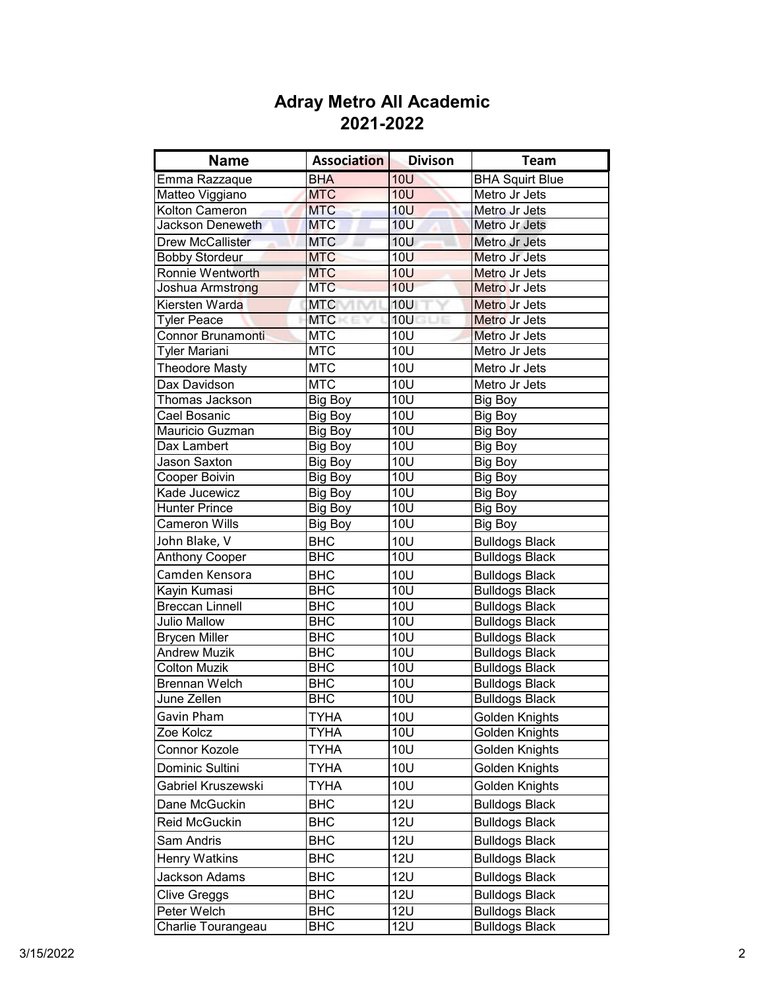| <b>Name</b>                         | <b>Association</b> | <b>Divison</b>   | <b>Team</b>            |
|-------------------------------------|--------------------|------------------|------------------------|
| Emma Razzaque                       | <b>BHA</b>         | 10U              | <b>BHA Squirt Blue</b> |
| Matteo Viggiano                     | <b>MTC</b>         | <b>10U</b>       | Metro Jr Jets          |
| Kolton Cameron                      | <b>MTC</b>         | <b>10U</b>       | Metro Jr Jets          |
| Jackson Deneweth                    | <b>MTC</b>         | 10 <sub>U</sub>  | Metro Jr Jets          |
| <b>Drew McCallister</b>             | <b>MTC</b>         | 10U              | Metro Jr Jets          |
| <b>Bobby Stordeur</b>               | <b>MTC</b>         | <b>10U</b>       | Metro Jr Jets          |
| Ronnie Wentworth                    | <b>MTC</b>         | <b>10U</b>       | Metro Jr Jets          |
| Joshua Armstr <mark>ong</mark>      | <b>MTC</b>         | <b>10U</b>       | Metro Jr Jets          |
| Kiersten Warda                      | <b>MTC</b>         | <b>10U</b>       | Metro Jr Jets          |
| <b>Tyler Peace</b>                  | <b>MTC</b>         | 10U              | Metro Jr Jets          |
| <b>Connor Brunamonti</b>            | <b>MTC</b>         | <b>10U</b>       | Metro Jr Jets          |
| Tyler Mariani                       | <b>MTC</b>         | <b>10U</b>       | Metro Jr Jets          |
| <b>Theodore Masty</b>               | <b>MTC</b>         | <b>10U</b>       | Metro Jr Jets          |
| Dax Davidson                        | <b>MTC</b>         | <b>10U</b>       | Metro Jr Jets          |
| Thomas Jackson                      | Big Boy            | <b>10U</b>       | <b>Big Boy</b>         |
| Cael Bosanic                        | Big Boy            | <b>10U</b>       | Big Boy                |
| Mauricio Guzman                     | Big Boy            | <b>10U</b>       | Big Boy                |
| Dax Lambert                         | Big Boy            | <b>10U</b>       | Big Boy                |
| <b>Jason Saxton</b>                 | Big Boy            | <b>10U</b>       | Big Boy                |
| <b>Cooper Boivin</b>                | Big Boy            | <b>10U</b>       | <b>Big Boy</b>         |
| Kade Jucewicz                       | Big Boy            | <b>10U</b>       | <b>Big Boy</b>         |
| <b>Hunter Prince</b>                | Big Boy            | <b>10U</b>       | <b>Big Boy</b>         |
| <b>Cameron Wills</b>                | <b>Big Boy</b>     | 10U              | <b>Big Boy</b>         |
| John Blake, V                       | <b>BHC</b>         | 10U              | <b>Bulldogs Black</b>  |
| <b>Anthony Cooper</b>               | $\overline{BHC}$   | $\overline{1}0U$ | <b>Bulldogs Black</b>  |
| Camden Kensora                      | <b>BHC</b>         | 10U              | <b>Bulldogs Black</b>  |
| Kayin Kumasi                        | <b>BHC</b>         | <b>10U</b>       | <b>Bulldogs Black</b>  |
| <b>Breccan Linnell</b>              | <b>BHC</b>         | 10U              | <b>Bulldogs Black</b>  |
| <b>Julio Mallow</b>                 | <b>BHC</b>         | 10U              | <b>Bulldogs Black</b>  |
| <b>Brycen Miller</b>                | <b>BHC</b>         | 10U              | <b>Bulldogs Black</b>  |
| <b>Andrew Muzik</b>                 | <b>BHC</b>         | <b>10U</b>       | <b>Bulldogs Black</b>  |
| <b>Colton Muzik</b>                 | <b>BHC</b>         | 10U              | <b>Bulldogs Black</b>  |
| <b>Brennan Welch</b><br>June Zellen | <b>BHC</b>         | 10U              | <b>Bulldogs Black</b>  |
|                                     | <b>BHC</b>         | $\overline{1}0U$ | <b>Bulldogs Black</b>  |
| Gavin Pham                          | TYHA               | 10U              | Golden Knights         |
| Zoe Kolcz                           | TYHA               | <b>10U</b>       | Golden Knights         |
| Connor Kozole                       | <b>TYHA</b>        | <b>10U</b>       | Golden Knights         |
| Dominic Sultini                     | <b>TYHA</b>        | <b>10U</b>       | Golden Knights         |
| Gabriel Kruszewski                  | <b>TYHA</b>        | <b>10U</b>       | Golden Knights         |
| Dane McGuckin                       | <b>BHC</b>         | <b>12U</b>       | <b>Bulldogs Black</b>  |
| Reid McGuckin                       | BHC                | <b>12U</b>       | <b>Bulldogs Black</b>  |
| Sam Andris                          | <b>BHC</b>         | <b>12U</b>       | <b>Bulldogs Black</b>  |
| <b>Henry Watkins</b>                | BHC                | <b>12U</b>       | <b>Bulldogs Black</b>  |
| Jackson Adams                       | BHC                | <b>12U</b>       | <b>Bulldogs Black</b>  |
| Clive Greggs                        | <b>BHC</b>         | <b>12U</b>       | <b>Bulldogs Black</b>  |
| Peter Welch                         | <b>BHC</b>         | <b>12U</b>       | <b>Bulldogs Black</b>  |
| Charlie Tourangeau                  | <b>BHC</b>         | <b>12U</b>       | <b>Bulldogs Black</b>  |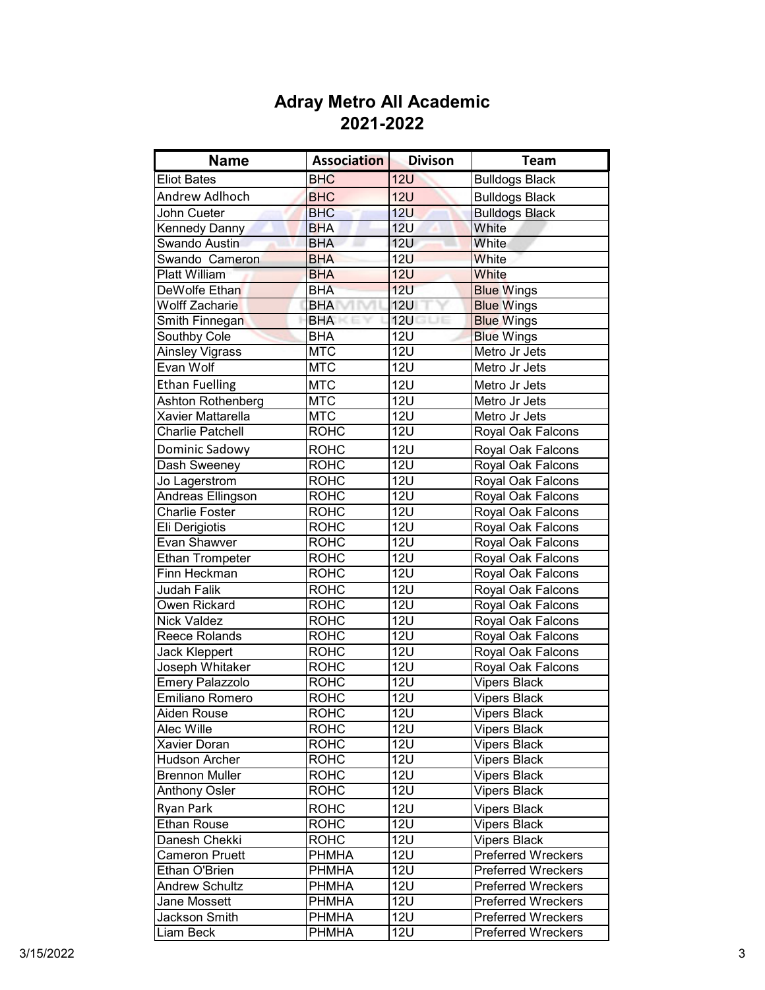| <b>Name</b>             | <b>Association</b> | <b>Divison</b>      | <b>Team</b>               |
|-------------------------|--------------------|---------------------|---------------------------|
| <b>Eliot Bates</b>      | <b>BHC</b>         | <b>12U</b>          | <b>Bulldogs Black</b>     |
| Andrew Adlhoch          | <b>BHC</b>         | <b>12U</b>          | <b>Bulldogs Black</b>     |
| John Cueter             | <b>BHC</b>         | 12U                 | <b>Bulldogs Black</b>     |
| Kennedy Danny           | <b>BHA</b>         | 12 <sub>U</sub>     | White                     |
| Swando Austin           | <b>BHA</b>         | <b>12U</b>          | White                     |
| Swando Cameron          | <b>BHA</b>         | <b>12U</b>          | White                     |
| <b>Platt William</b>    | <b>BHA</b>         | <b>12U</b>          | White                     |
| DeWolfe Ethan           | <b>BHA</b>         | 12U                 | <b>Blue Wings</b>         |
| <b>Wolff Zacharie</b>   | <b>BHA</b>         | <b>12U</b>          | <b>Blue Wings</b>         |
| Smith Finnegan          | <b>BHA</b>         | <b>12U</b><br>3 L.H | <b>Blue Wings</b>         |
| Southby Cole            | <b>BHA</b>         | <b>12U</b>          | <b>Blue Wings</b>         |
| Ainsley Vigrass         | <b>MTC</b>         | <b>12U</b>          | Metro Jr Jets             |
| Evan Wolf               | <b>MTC</b>         | <b>12U</b>          | Metro Jr Jets             |
| <b>Ethan Fuelling</b>   | <b>MTC</b>         | <b>12U</b>          | Metro Jr Jets             |
| Ashton Rothenberg       | <b>MTC</b>         | <b>12U</b>          | Metro Jr Jets             |
| Xavier Mattarella       | <b>MTC</b>         | <b>12U</b>          | Metro Jr Jets             |
| <b>Charlie Patchell</b> | <b>ROHC</b>        | <b>12U</b>          | Royal Oak Falcons         |
| Dominic Sadowy          | <b>ROHC</b>        | <b>12U</b>          | Royal Oak Falcons         |
| Dash Sweeney            | <b>ROHC</b>        | <b>12U</b>          | Royal Oak Falcons         |
| Jo Lagerstrom           | <b>ROHC</b>        | <b>12U</b>          | Royal Oak Falcons         |
| Andreas Ellingson       | <b>ROHC</b>        | <b>12U</b>          | Royal Oak Falcons         |
| <b>Charlie Foster</b>   | <b>ROHC</b>        | <b>12U</b>          | Royal Oak Falcons         |
| Eli Derigiotis          | <b>ROHC</b>        | <b>12U</b>          | Royal Oak Falcons         |
| Evan Shawver            | <b>ROHC</b>        | 12U                 | Royal Oak Falcons         |
| <b>Ethan Trompeter</b>  | <b>ROHC</b>        | <b>12U</b>          | Royal Oak Falcons         |
| Finn Heckman            | <b>ROHC</b>        | <b>12U</b>          | Royal Oak Falcons         |
| Judah Falik             | <b>ROHC</b>        | <b>12U</b>          | Royal Oak Falcons         |
| Owen Rickard            | <b>ROHC</b>        | <b>12U</b>          | Royal Oak Falcons         |
| <b>Nick Valdez</b>      | <b>ROHC</b>        | <b>12U</b>          | Royal Oak Falcons         |
| Reece Rolands           | <b>ROHC</b>        | <b>12U</b>          | Royal Oak Falcons         |
| Jack Kleppert           | <b>ROHC</b>        | <b>12U</b>          | Royal Oak Falcons         |
| Joseph Whitaker         | <b>ROHC</b>        | <b>12U</b>          | Royal Oak Falcons         |
| Emery Palazzolo         | <b>ROHC</b>        | <b>12U</b>          | <b>Vipers Black</b>       |
| Emiliano Romero         | <b>ROHC</b>        | <b>12U</b>          | <b>Vipers Black</b>       |
| Aiden Rouse             | <b>ROHC</b>        | 12U                 | <b>Vipers Black</b>       |
| Alec Wille              | <b>ROHC</b>        | <b>12U</b>          | <b>Vipers Black</b>       |
| <b>Xavier Doran</b>     | <b>ROHC</b>        | <b>12U</b>          | <b>Vipers Black</b>       |
| <b>Hudson Archer</b>    | <b>ROHC</b>        | <b>12U</b>          | Vipers Black              |
| <b>Brennon Muller</b>   | <b>ROHC</b>        | <b>12U</b>          | <b>Vipers Black</b>       |
| <b>Anthony Osler</b>    | <b>ROHC</b>        | <b>12U</b>          | Vipers Black              |
| Ryan Park               | <b>ROHC</b>        | <b>12U</b>          | <b>Vipers Black</b>       |
| <b>Ethan Rouse</b>      | <b>ROHC</b>        | <b>12U</b>          | <b>Vipers Black</b>       |
| Danesh Chekki           | <b>ROHC</b>        | <b>12U</b>          | <b>Vipers Black</b>       |
| <b>Cameron Pruett</b>   | <b>PHMHA</b>       | <b>12U</b>          | <b>Preferred Wreckers</b> |
| Ethan O'Brien           | <b>PHMHA</b>       | <b>12U</b>          | <b>Preferred Wreckers</b> |
| <b>Andrew Schultz</b>   | <b>PHMHA</b>       | <b>12U</b>          | <b>Preferred Wreckers</b> |
| Jane Mossett            | <b>PHMHA</b>       | $\overline{12}$ U   | <b>Preferred Wreckers</b> |
| Jackson Smith           | <b>PHMHA</b>       | <b>12U</b>          | <b>Preferred Wreckers</b> |
| Liam Beck               | <b>PHMHA</b>       | <b>12U</b>          | <b>Preferred Wreckers</b> |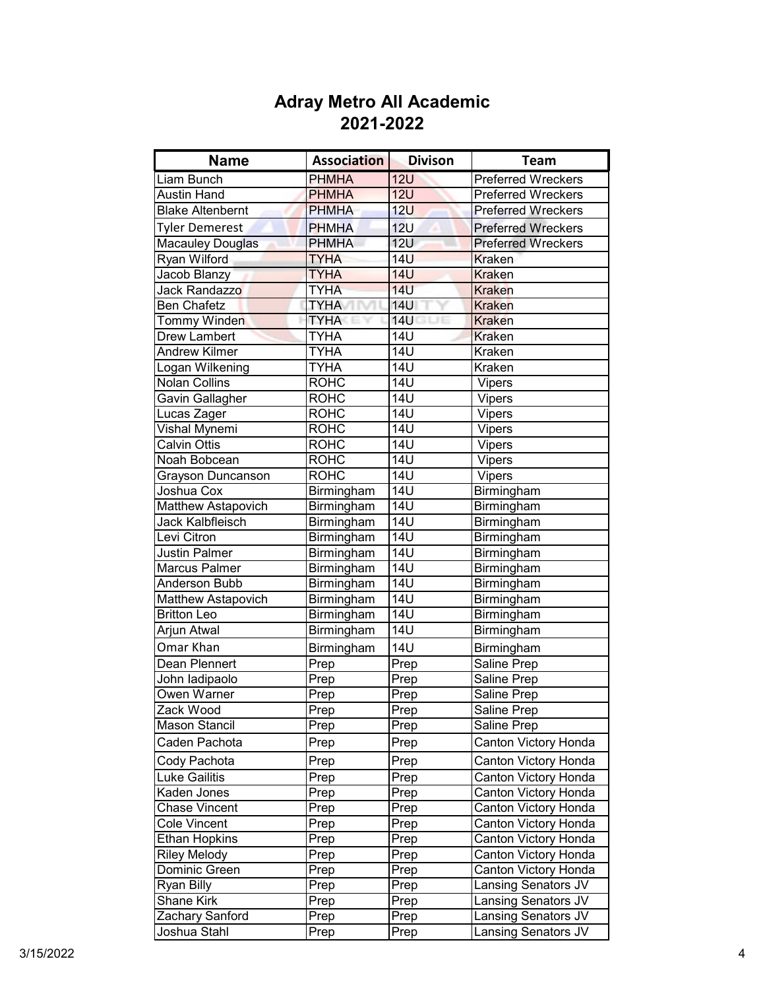| <b>Name</b>             | <b>Association</b> | <b>Divison</b>       | <b>Team</b>               |
|-------------------------|--------------------|----------------------|---------------------------|
| Liam Bunch              | <b>PHMHA</b>       | 12U                  | <b>Preferred Wreckers</b> |
| <b>Austin Hand</b>      | <b>PHMHA</b>       | 12U                  | <b>Preferred Wreckers</b> |
| <b>Blake Altenbernt</b> | <b>PHMHA</b>       | 12U                  | <b>Preferred Wreckers</b> |
| <b>Tyler Demerest</b>   | <b>PHMHA</b>       | 12U                  | <b>Preferred Wreckers</b> |
| Macauley Douglas        | <b>PHMHA</b>       | $\overline{1}2U$     | <b>Preferred Wreckers</b> |
| Ryan Wilford            | <b>TYHA</b>        | <b>14U</b>           | <b>Kraken</b>             |
| Jacob Blanzy            | <b>TYHA</b>        | <b>14U</b>           | <b>Kraken</b>             |
| Jack Randazzo           | <b>TYHA</b>        | <b>14U</b>           | <b>Kraken</b>             |
| <b>Ben Chafetz</b>      | <b>TYHA</b>        | <b>14U</b>           | <b>Kraken</b>             |
| <b>Tommy Winden</b>     | <b>TYHA</b>        | <b>14U</b><br>i LJ E | <b>Kraken</b>             |
| <b>Drew Lambert</b>     | <b>TYHA</b>        | <b>14U</b>           | <b>Kraken</b>             |
| <b>Andrew Kilmer</b>    | <b>TYHA</b>        | <b>14U</b>           | Kraken                    |
| Logan Wilkening         | <b>TYHA</b>        | <b>14U</b>           | Kraken                    |
| Nolan Collins           | <b>ROHC</b>        | <b>14U</b>           | <b>Vipers</b>             |
| Gavin Gallagher         | <b>ROHC</b>        | 14U                  | <b>Vipers</b>             |
| Lucas Zager             | <b>ROHC</b>        | <b>14U</b>           | Vipers                    |
| Vishal Mynemi           | <b>ROHC</b>        | <b>14U</b>           | Vipers                    |
| <b>Calvin Ottis</b>     | <b>ROHC</b>        | <b>14U</b>           | Vipers                    |
| Noah Bobcean            | ROHC               | <b>14U</b>           | $\overline{V}$ ipers      |
| Grayson Duncanson       | <b>ROHC</b>        | 14U                  | Vipers                    |
| Joshua Cox              | Birmingham         | <b>14U</b>           | Birmingham                |
| Matthew Astapovich      | Birmingham         | <b>14U</b>           | Birmingham                |
| Jack Kalbfleisch        | Birmingham         | <b>14U</b>           | Birmingham                |
| Levi Citron             | Birmingham         | <b>14U</b>           | Birmingham                |
| <b>Justin Palmer</b>    | Birmingham         | $\overline{14U}$     | Birmingham                |
| <b>Marcus Palmer</b>    | Birmingham         | 14 <sub>U</sub>      | Birmingham                |
| Anderson Bubb           | Birmingham         | $\overline{14U}$     | Birmingham                |
| Matthew Astapovich      | Birmingham         | $\overline{14U}$     | Birmingham                |
| <b>Britton Leo</b>      | Birmingham         | $\overline{14U}$     | Birmingham                |
| Arjun Atwal             | Birmingham         | <b>14U</b>           | Birmingham                |
| Omar Khan               | Birmingham         | <b>14U</b>           | Birmingham                |
| Dean Plennert           | Prep               | Prep                 | Saline Prep               |
| John ladipaolo          | Prep               | Prep                 | Saline Prep               |
| Owen Warner             | Prep               | Prep                 | Saline Prep               |
| Zack Wood               | Prep               | Prep                 | Saline Prep               |
| <b>Mason Stancil</b>    | Prep               | Prep                 | Saline Prep               |
| Caden Pachota           | Prep               | Prep                 | Canton Victory Honda      |
| Cody Pachota            | Prep               | Prep                 | Canton Victory Honda      |
| <b>Luke Gailitis</b>    | Prep               | Prep                 | Canton Victory Honda      |
| Kaden Jones             | Prep               | Prep                 | Canton Victory Honda      |
| <b>Chase Vincent</b>    | Prep               | Prep                 | Canton Victory Honda      |
| <b>Cole Vincent</b>     | Prep               | Prep                 | Canton Victory Honda      |
| <b>Ethan Hopkins</b>    | Prep               | Prep                 | Canton Victory Honda      |
| <b>Riley Melody</b>     | Prep               | Prep                 | Canton Victory Honda      |
| Dominic Green           | Prep               | Prep                 | Canton Victory Honda      |
| Ryan Billy              | Prep               | Prep                 | Lansing Senators JV       |
| Shane Kirk              | Prep               | Prep                 | Lansing Senators JV       |
| Zachary Sanford         | Prep               | Prep                 | Lansing Senators JV       |
| Joshua Stahl            | Prep               | Prep                 | Lansing Senators JV       |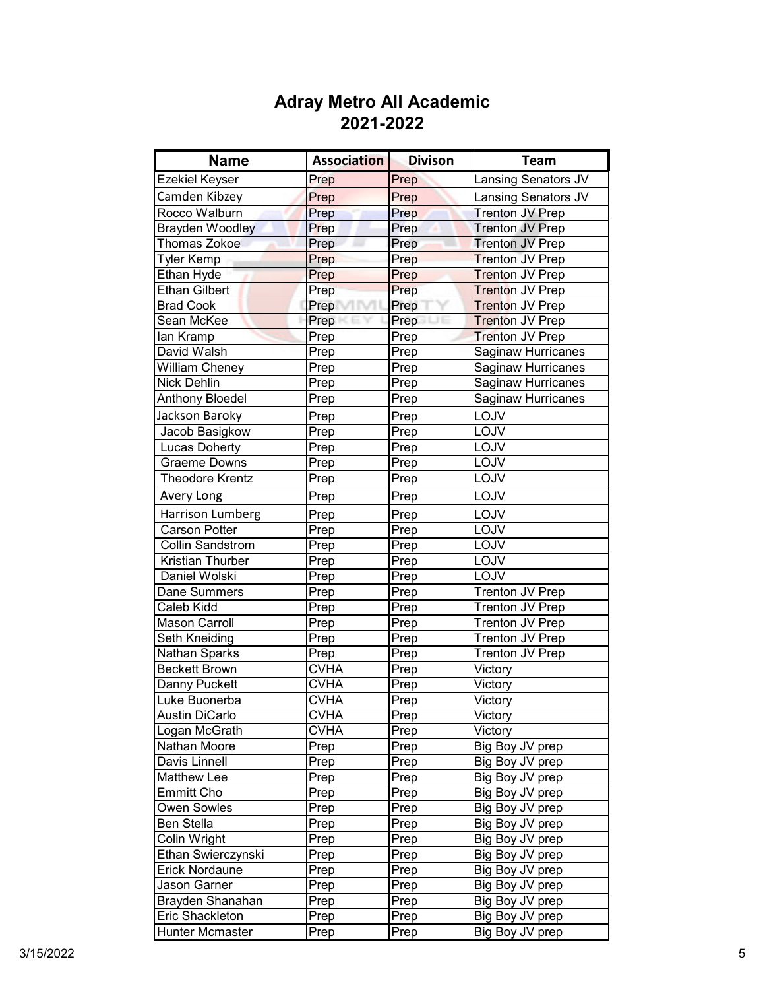| <b>Name</b>            | <b>Association</b> | <b>Divison</b> | <b>Team</b>               |
|------------------------|--------------------|----------------|---------------------------|
| <b>Ezekiel Keyser</b>  | Prep               | Prep           | Lansing Senators JV       |
| Camden Kibzey          | Prep               | Prep           | Lansing Senators JV       |
| Rocco Walburn          | Prep               | Prep           | <b>Trenton JV Prep</b>    |
| <b>Brayden Woodley</b> | Prep               | Prep           | <b>Trenton JV Prep</b>    |
| <b>Thomas Zokoe</b>    | Prep               | Prep           | <b>Trenton JV Prep</b>    |
| <b>Tyler Kemp</b>      | Prep               | Prep           | <b>Trenton JV Prep</b>    |
| <b>Ethan Hyde</b>      | Prep               | Prep           | <b>Trenton JV Prep</b>    |
| Ethan Gilbert          | Prep               | Prep           | Trenton JV Prep           |
| <b>Brad Cook</b>       | Prep               | Prep           | Trenton JV Prep           |
| Sean McKee             | Prep               | Prep           | <b>Trenton JV Prep</b>    |
| lan Kramp              | Prep               | Prep           | <b>Trenton JV Prep</b>    |
| David Walsh            | Prep               | Prep           | <b>Saginaw Hurricanes</b> |
| <b>William Cheney</b>  | Prep               | Prep           | Saginaw Hurricanes        |
| <b>Nick Dehlin</b>     | Prep               | Prep           | Saginaw Hurricanes        |
| <b>Anthony Bloedel</b> | Prep               | Prep           | Saginaw Hurricanes        |
| Jackson Baroky         | Prep               | Prep           | LOJV                      |
| Jacob Basigkow         | Prep               | Prep           | LOJV                      |
| <b>Lucas Doherty</b>   | Prep               | Prep           | LOJV                      |
| Graeme Downs           | Prep               | Prep           | LOJV                      |
| <b>Theodore Krentz</b> | Prep               | Prep           | LOJV                      |
| Avery Long             | Prep               | Prep           | LOJV                      |
| Harrison Lumberg       | Prep               | Prep           | LOJV                      |
| <b>Carson Potter</b>   | Prep               | Prep           | LOJV                      |
| Collin Sandstrom       | Prep               | Prep           | LOJV                      |
| Kristian Thurber       | Prep               | Prep           | LOJV                      |
| Daniel Wolski          | Prep               | Prep           | LOJV                      |
| Dane Summers           | Prep               | Prep           | Trenton JV Prep           |
| Caleb Kidd             | Prep               | Prep           | Trenton JV Prep           |
| <b>Mason Carroll</b>   | Prep               | Prep           | Trenton JV Prep           |
| Seth Kneiding          | Prep               | Prep           | Trenton JV Prep           |
| <b>Nathan Sparks</b>   | Prep               | Prep           | Trenton JV Prep           |
| <b>Beckett Brown</b>   | <b>CVHA</b>        | Prep           | Victory                   |
| Danny Puckett          | <b>CVHA</b>        | Prep           | Victory                   |
| Luke Buonerba          | <b>CVHA</b>        | Prep           | Victory                   |
| <b>Austin DiCarlo</b>  | <b>CVHA</b>        | Prep           | Victory                   |
| Logan McGrath          | CVHA               | Prep           | Victory                   |
| Nathan Moore           | Prep               | Prep           | Big Boy JV prep           |
| Davis Linnell          | Prep               | Prep           | Big Boy JV prep           |
| Matthew Lee            | Prep               | Prep           | Big Boy JV prep           |
| <b>Emmitt Cho</b>      | Prep               | Prep           | Big Boy JV prep           |
| Owen Sowles            | Prep               | Prep           | Big Boy JV prep           |
| <b>Ben Stella</b>      | Prep               | Prep           | Big Boy JV prep           |
| Colin Wright           | Prep               | Prep           | Big Boy JV prep           |
| Ethan Swierczynski     | Prep               | Prep           | Big Boy JV prep           |
| Erick Nordaune         | Prep               | Prep           | Big Boy JV prep           |
| Jason Garner           | Prep               | Prep           | Big Boy JV prep           |
| Brayden Shanahan       | Prep               | Prep           | Big Boy JV prep           |
| Eric Shackleton        | Prep               | Prep           | Big Boy JV prep           |
| Hunter Mcmaster        | Prep               | Prep           | Big Boy JV prep           |